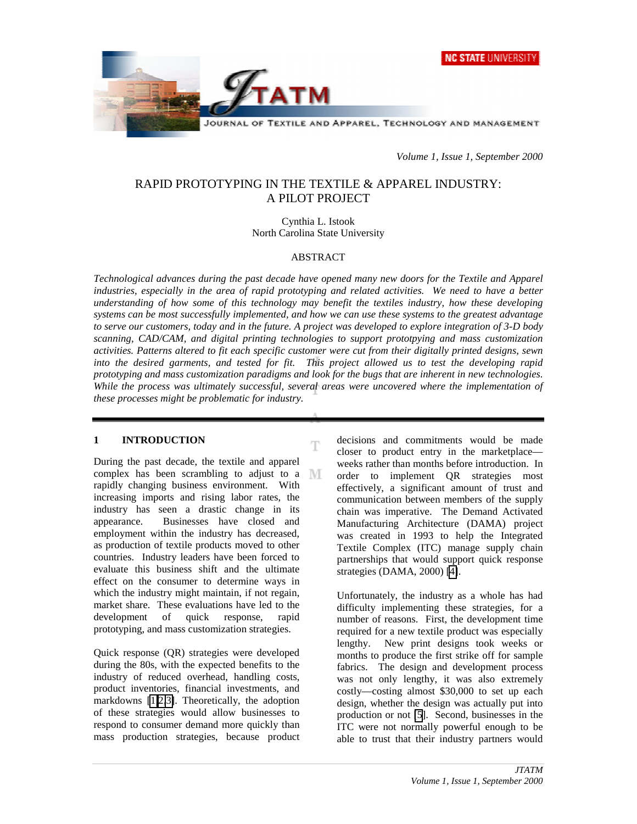



*Volume 1, Issue 1, September 2000*

# RAPID PROTOTYPING IN THE TEXTILE & APPAREL INDUSTRY: A PILOT PROJECT

Cynthia L. Istook North Carolina State University

### ABSTRACT

*Technological advances during the past decade have opened many new doors for the Textile and Apparel industries, especially in the area of rapid prototyping and related activities. We need to have a better understanding of how some of this technology may benefit the textiles industry, how these developing systems can be most successfully implemented, and how we can use these systems to the greatest advantage to serve our customers, today and in the future. A project was developed to explore integration of 3-D body scanning, CAD/CAM, and digital printing technologies to support prototpying and mass customization activities. Patterns altered to fit each specific customer were cut from their digitally printed designs, sewn into the desired garments, and tested for fit. This project allowed us to test the developing rapid prototyping and mass customization paradigms and look for the bugs that are inherent in new technologies. While the process was ultimately successful, several areas were uncovered where the implementation of these processes might be problematic for industry.*

Ŧ

### **1 INTRODUCTION**

During the past decade, the textile and apparel complex has been scrambling to adjust to a  $\mathbb N$ rapidly changing business environment. With increasing imports and rising labor rates, the industry has seen a drastic change in its appearance. Businesses have closed and employment within the industry has decreased, as production of textile products moved to other countries. Industry leaders have been forced to evaluate this business shift and the ultimate effect on the consumer to determine ways in which the industry might maintain, if not regain, market share. These evaluations have led to the development of quick response, rapid prototyping, and mass customization strategies.

Quick response (QR) strategies were developed during the 80s, with the expected benefits to the industry of reduced overhead, handling costs, product inventories, financial investments, and markdowns [\[1,2,3\]](#page-13-0). Theoretically, the adoption of these strategies would allow businesses to respond to consumer demand more quickly than mass production strategies, because product decisions and commitments would be made closer to product entry in the marketplace weeks rather than months before introduction. In order to implement QR strategies most effectively, a significant amount of trust and communication between members of the supply chain was imperative. The Demand Activated Manufacturing Architecture (DAMA) project was created in 1993 to help the Integrated Textile Complex (ITC) manage supply chain partnerships that would support quick response strategies (DAMA, 2000) [\[4\]](#page-13-0).

Unfortunately, the industry as a whole has had difficulty implementing these strategies, for a number of reasons. First, the development time required for a new textile product was especially lengthy. New print designs took weeks or months to produce the first strike off for sample fabrics. The design and development process was not only lengthy, it was also extremely costly—costing almost \$30,000 to set up each design, whether the design was actually put into production or not [\[5](#page-13-0)]. Second, businesses in the ITC were not normally powerful enough to be able to trust that their industry partners would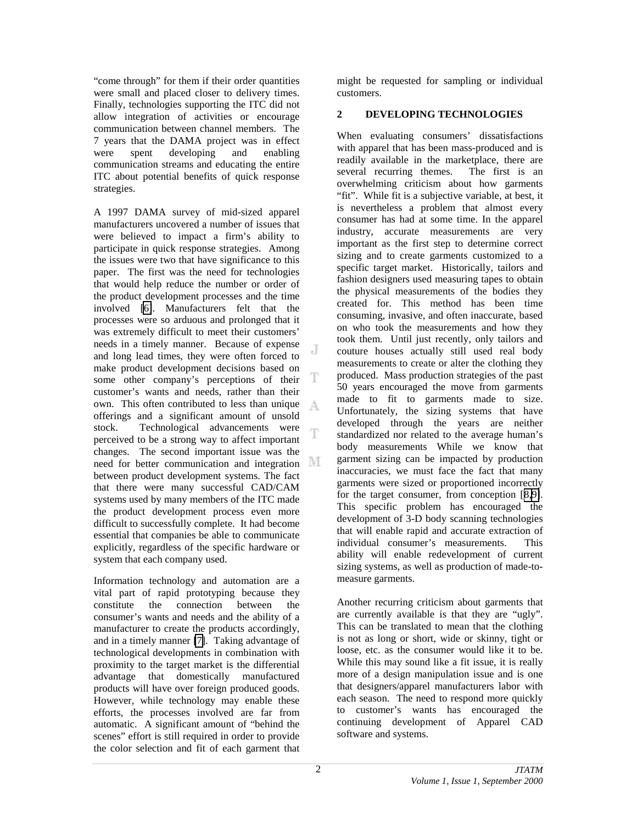<span id="page-1-0"></span>"come through" for them if their order quantities were small and placed closer to delivery times. Finally, technologies supporting the ITC did not allow integration of activities or encourage communication between channel members. The 7 years that the DAMA project was in effect were spent developing and enabling communication streams and educating the entire ITC about potential benefits of quick response strategies.

A 1997 DAMA survey of mid-sized apparel manufacturers uncovered a number of issues that were believed to impact a firm's ability to participate in quick response strategies. Among the issues were two that have significance to this paper. The first was the need for technologies that would help reduce the number or order of the product development processes and the time involved [\[6\]](#page-13-0). Manufacturers felt that the processes were so arduous and prolonged that it was extremely difficult to meet their customers' needs in a timely manner. Because of expense J. and long lead times, they were often forced to make product development decisions based on T some other company's perceptions of their customer's wants and needs, rather than their own. This often contributed to less than unique A offerings and a significant amount of unsold stock. Technological advancements were Ŧ perceived to be a strong way to affect important changes. The second important issue was the need for better communication and integration between product development systems. The fact that there were many successful CAD/CAM systems used by many members of the ITC made the product development process even more difficult to successfully complete. It had become essential that companies be able to communicate explicitly, regardless of the specific hardware or system that each company used.

Information technology and automation are a vital part of rapid prototyping because they constitute the connection between the consumer's wants and needs and the ability of a manufacturer to create the products accordingly, and in a timely manner [\[7\]](#page-13-0). Taking advantage of technological developments in combination with proximity to the target market is the differential advantage that domestically manufactured products will have over foreign produced goods. However, while technology may enable these efforts, the processes involved are far from automatic. A significant amount of "behind the scenes" effort is still required in order to provide the color selection and fit of each garment that

might be requested for sampling or individual customers.

## **2 DEVELOPING TECHNOLOGIES**

When evaluating consumers' dissatisfactions with apparel that has been mass-produced and is readily available in the marketplace, there are several recurring themes. The first is an overwhelming criticism about how garments "fit". While fit is a subjective variable, at best, it is nevertheless a problem that almost every consumer has had at some time. In the apparel industry, accurate measurements are very important as the first step to determine correct sizing and to create garments customized to a specific target market. Historically, tailors and fashion designers used measuring tapes to obtain the physical measurements of the bodies they created for. This method has been time consuming, invasive, and often inaccurate, based on who took the measurements and how they took them. Until just recently, only tailors and couture houses actually still used real body measurements to create or alter the clothing they produced. Mass production strategies of the past 50 years encouraged the move from garments made to fit to garments made to size. Unfortunately, the sizing systems that have developed through the years are neither standardized nor related to the average human's body measurements While we know that garment sizing can be impacted by production inaccuracies, we must face the fact that many garments were sized or proportioned incorrectly for the target consumer, from conception [[8,9\]](#page-13-0). This specific problem has encouraged the development of 3-D body scanning technologies that will enable rapid and accurate extraction of individual consumer's measurements. This ability will enable redevelopment of current sizing systems, as well as production of made-tomeasure garments.

Another recurring criticism about garments that are currently available is that they are "ugly". This can be translated to mean that the clothing is not as long or short, wide or skinny, tight or loose, etc. as the consumer would like it to be. While this may sound like a fit issue, it is really more of a design manipulation issue and is one that designers/apparel manufacturers labor with each season. The need to respond more quickly to customer's wants has encouraged the continuing development of Apparel CAD software and systems.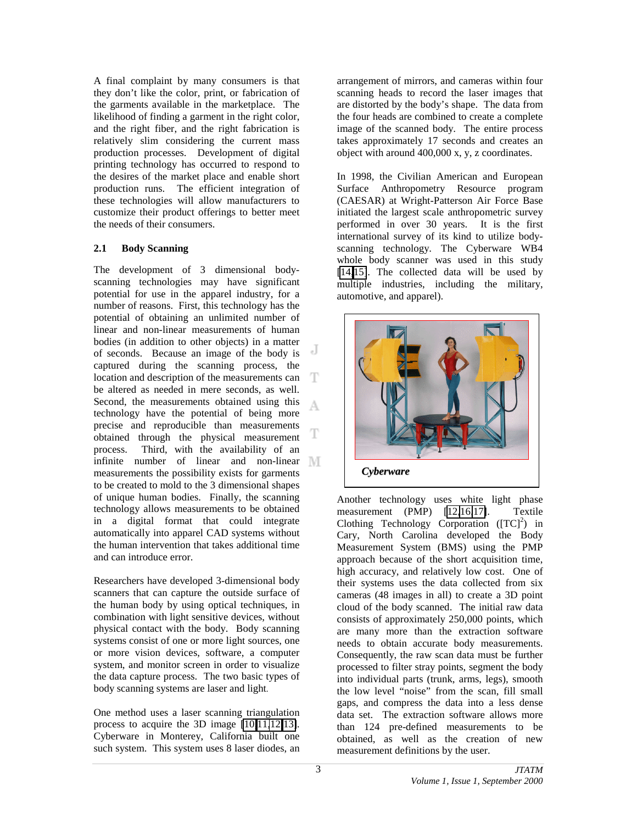<span id="page-2-0"></span>A final complaint by many consumers is that they don't like the color, print, or fabrication of the garments available in the marketplace. The likelihood of finding a garment in the right color, and the right fiber, and the right fabrication is relatively slim considering the current mass production processes. Development of digital printing technology has occurred to respond to the desires of the market place and enable short production runs. The efficient integration of these technologies will allow manufacturers to customize their product offerings to better meet the needs of their consumers.

### **2.1 Body Scanning**

The development of 3 dimensional bodyscanning technologies may have significant potential for use in the apparel industry, for a number of reasons. First, this technology has the potential of obtaining an unlimited number of linear and non-linear measurements of human bodies (in addition to other objects) in a matter J of seconds. Because an image of the body is captured during the scanning process, the location and description of the measurements can be altered as needed in mere seconds, as well. Second, the measurements obtained using this А technology have the potential of being more precise and reproducible than measurements obtained through the physical measurement process. Third, with the availability of an infinite number of linear and non-linear measurements the possibility exists for garments to be created to mold to the 3 dimensional shapes of unique human bodies. Finally, the scanning technology allows measurements to be obtained in a digital format that could integrate automatically into apparel CAD systems without the human intervention that takes additional time and can introduce error.

Researchers have developed 3-dimensional body scanners that can capture the outside surface of the human body by using optical techniques, in combination with light sensitive devices, without physical contact with the body. Body scanning systems consist of one or more light sources, one or more vision devices, software, a computer system, and monitor screen in order to visualize the data capture process. The two basic types of body scanning systems are laser and light.

One method uses a laser scanning triangulation process to acquire the 3D image [\[10,11,12,13\]](#page-13-0). Cyberware in Monterey, California built one such system. This system uses 8 laser diodes, an

arrangement of mirrors, and cameras within four scanning heads to record the laser images that are distorted by the body's shape. The data from the four heads are combined to create a complete image of the scanned body. The entire process takes approximately 17 seconds and creates an object with around 400,000 x, y, z coordinates.

In 1998, the Civilian American and European Surface Anthropometry Resource program (CAESAR) at Wright-Patterson Air Force Base initiated the largest scale anthropometric survey performed in over 30 years. It is the first international survey of its kind to utilize bodyscanning technology. The Cyberware WB4 whole body scanner was used in this study [\[14,15\]](#page-13-0). The collected data will be used by multiple industries, including the military, automotive, and apparel).



Another technology uses white light phase measurement (PMP) [12[,16,17\]](#page-13-0). Textile Clothing Technology Corporation  $( [TC]^2 )$  in Cary, North Carolina developed the Body Measurement System (BMS) using the PMP approach because of the short acquisition time, high accuracy, and relatively low cost. One of their systems uses the data collected from six cameras (48 images in all) to create a 3D point cloud of the body scanned. The initial raw data consists of approximately 250,000 points, which are many more than the extraction software needs to obtain accurate body measurements. Consequently, the raw scan data must be further processed to filter stray points, segment the body into individual parts (trunk, arms, legs), smooth the low level "noise" from the scan, fill small gaps, and compress the data into a less dense data set. The extraction software allows more than 124 pre-defined measurements to be obtained, as well as the creation of new measurement definitions by the user.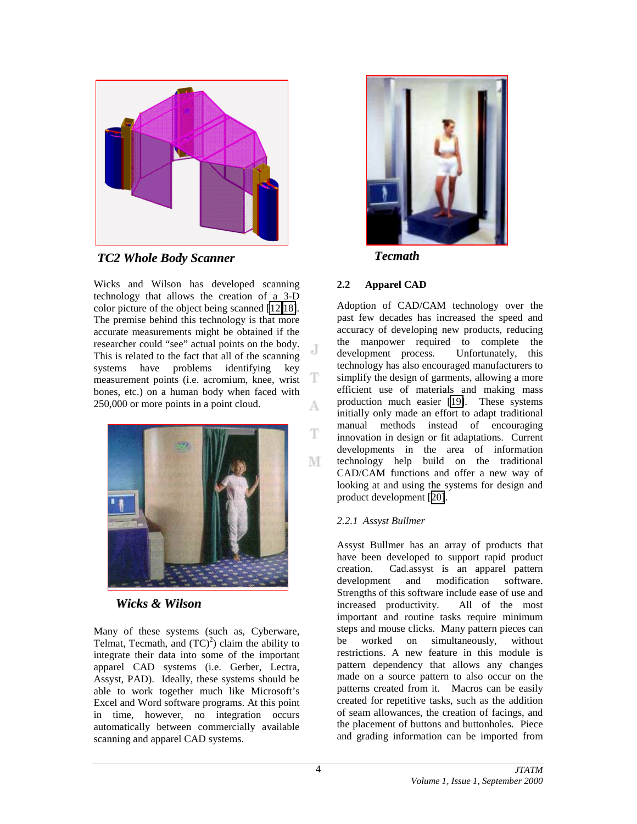

*TC2 Whole Body Scanner*

Wicks and Wilson has developed scanning technology that allows the creation of a 3-D color picture of the object being scanned [\[12,](#page-2-0)[18\]](#page-13-0). The premise behind this technology is that more accurate measurements might be obtained if the researcher could "see" actual points on the body. This is related to the fact that all of the scanning systems have problems identifying key measurement points (i.e. acromium, knee, wrist bones, etc.) on a human body when faced with 250,000 or more points in a point cloud. A



*Wicks & Wilson*

Many of these systems (such as, Cyberware, Telmat, Tecmath, and  $(TC)^2$ ) claim the ability to integrate their data into some of the important apparel CAD systems (i.e. Gerber, Lectra, Assyst, PAD). Ideally, these systems should be able to work together much like Microsoft's Excel and Word software programs. At this point in time, however, no integration occurs automatically between commercially available scanning and apparel CAD systems.



*Tecmath*

### **2.2 Apparel CAD**

.T

T

T

М

Adoption of CAD/CAM technology over the past few decades has increased the speed and accuracy of developing new products, reducing the manpower required to complete the development process. Unfortunately, this technology has also encouraged manufacturers to simplify the design of garments, allowing a more efficient use of materials and making mass production much easier [\[19\]](#page-13-0). These systems initially only made an effort to adapt traditional manual methods instead of encouraging innovation in design or fit adaptations. Current developments in the area of information technology help build on the traditional CAD/CAM functions and offer a new way of looking at and using the systems for design and product development [[20\]](#page-13-0).

### *2.2.1 Assyst Bullmer*

Assyst Bullmer has an array of products that have been developed to support rapid product creation. Cad.assyst is an apparel pattern development and modification software. Strengths of this software include ease of use and increased productivity. All of the most important and routine tasks require minimum steps and mouse clicks. Many pattern pieces can be worked on simultaneously, without restrictions. A new feature in this module is pattern dependency that allows any changes made on a source pattern to also occur on the patterns created from it. Macros can be easily created for repetitive tasks, such as the addition of seam allowances, the creation of facings, and the placement of buttons and buttonholes. Piece and grading information can be imported from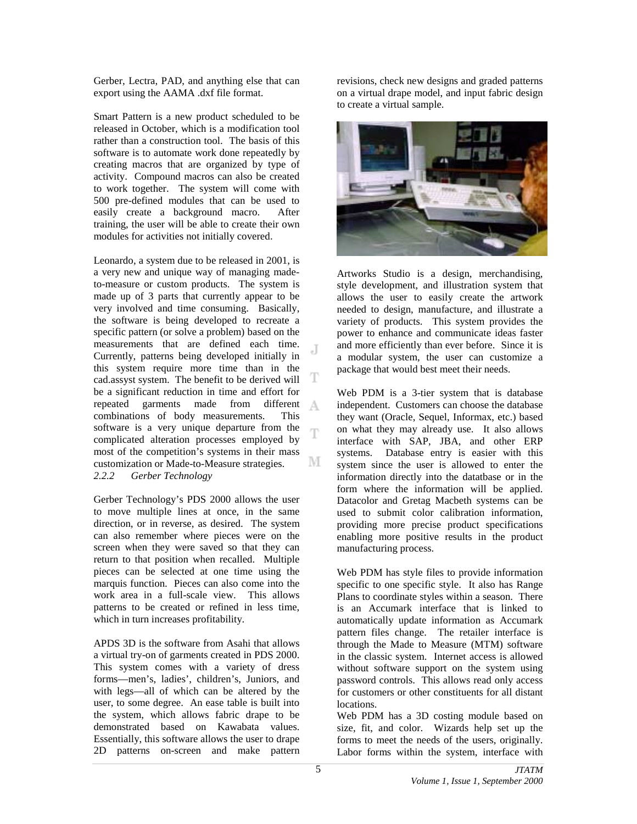Gerber, Lectra, PAD, and anything else that can export using the AAMA .dxf file format.

Smart Pattern is a new product scheduled to be released in October, which is a modification tool rather than a construction tool. The basis of this software is to automate work done repeatedly by creating macros that are organized by type of activity. Compound macros can also be created to work together. The system will come with 500 pre-defined modules that can be used to easily create a background macro. After training, the user will be able to create their own modules for activities not initially covered.

Leonardo, a system due to be released in 2001, is a very new and unique way of managing madeto-measure or custom products. The system is made up of 3 parts that currently appear to be very involved and time consuming. Basically, the software is being developed to recreate a specific pattern (or solve a problem) based on the measurements that are defined each time. J Currently, patterns being developed initially in this system require more time than in the T cad.assyst system. The benefit to be derived will be a significant reduction in time and effort for repeated garments made from different A combinations of body measurements. This software is a very unique departure from the Ŧ complicated alteration processes employed by most of the competition's systems in their mass M customization or Made-to-Measure strategies. *2.2.2 Gerber Technology*

Gerber Technology's PDS 2000 allows the user to move multiple lines at once, in the same direction, or in reverse, as desired. The system can also remember where pieces were on the screen when they were saved so that they can return to that position when recalled. Multiple pieces can be selected at one time using the marquis function. Pieces can also come into the work area in a full-scale view. This allows patterns to be created or refined in less time, which in turn increases profitability.

APDS 3D is the software from Asahi that allows a virtual try-on of garments created in PDS 2000. This system comes with a variety of dress forms—men's, ladies', children's, Juniors, and with legs—all of which can be altered by the user, to some degree. An ease table is built into the system, which allows fabric drape to be demonstrated based on Kawabata values. Essentially, this software allows the user to drape 2D patterns on-screen and make pattern

revisions, check new designs and graded patterns on a virtual drape model, and input fabric design to create a virtual sample.



Artworks Studio is a design, merchandising, style development, and illustration system that allows the user to easily create the artwork needed to design, manufacture, and illustrate a variety of products. This system provides the power to enhance and communicate ideas faster and more efficiently than ever before. Since it is a modular system, the user can customize a package that would best meet their needs.

Web PDM is a 3-tier system that is database independent. Customers can choose the database they want (Oracle, Sequel, Informax, etc.) based on what they may already use. It also allows interface with SAP, JBA, and other ERP systems. Database entry is easier with this system since the user is allowed to enter the information directly into the datatbase or in the form where the information will be applied. Datacolor and Gretag Macbeth systems can be used to submit color calibration information, providing more precise product specifications enabling more positive results in the product manufacturing process.

Web PDM has style files to provide information specific to one specific style. It also has Range Plans to coordinate styles within a season. There is an Accumark interface that is linked to automatically update information as Accumark pattern files change. The retailer interface is through the Made to Measure (MTM) software in the classic system. Internet access is allowed without software support on the system using password controls. This allows read only access for customers or other constituents for all distant locations.

Web PDM has a 3D costing module based on size, fit, and color. Wizards help set up the forms to meet the needs of the users, originally. Labor forms within the system, interface with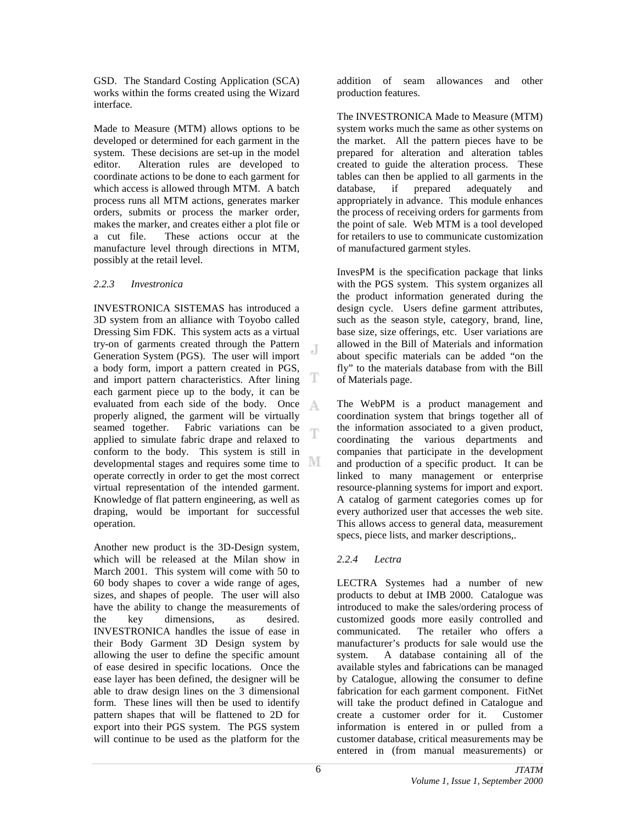GSD. The Standard Costing Application (SCA) works within the forms created using the Wizard interface.

Made to Measure (MTM) allows options to be developed or determined for each garment in the system. These decisions are set-up in the model editor. Alteration rules are developed to coordinate actions to be done to each garment for which access is allowed through MTM. A batch process runs all MTM actions, generates marker orders, submits or process the marker order, makes the marker, and creates either a plot file or a cut file. These actions occur at the manufacture level through directions in MTM, possibly at the retail level.

### *2.2.3 Investronica*

INVESTRONICA SISTEMAS has introduced a 3D system from an alliance with Toyobo called Dressing Sim FDK. This system acts as a virtual try-on of garments created through the Pattern J Generation System (PGS). The user will import a body form, import a pattern created in PGS, T and import pattern characteristics. After lining each garment piece up to the body, it can be evaluated from each side of the body. Once A properly aligned, the garment will be virtually seamed together. Fabric variations can be T applied to simulate fabric drape and relaxed to conform to the body. This system is still in developmental stages and requires some time to operate correctly in order to get the most correct virtual representation of the intended garment. Knowledge of flat pattern engineering, as well as draping, would be important for successful operation.

Another new product is the 3D-Design system, which will be released at the Milan show in March 2001. This system will come with 50 to 60 body shapes to cover a wide range of ages, sizes, and shapes of people. The user will also have the ability to change the measurements of the key dimensions, as desired. INVESTRONICA handles the issue of ease in their Body Garment 3D Design system by allowing the user to define the specific amount of ease desired in specific locations. Once the ease layer has been defined, the designer will be able to draw design lines on the 3 dimensional form. These lines will then be used to identify pattern shapes that will be flattened to 2D for export into their PGS system. The PGS system will continue to be used as the platform for the

addition of seam allowances and other production features.

The INVESTRONICA Made to Measure (MTM) system works much the same as other systems on the market. All the pattern pieces have to be prepared for alteration and alteration tables created to guide the alteration process. These tables can then be applied to all garments in the database, if prepared adequately and appropriately in advance. This module enhances the process of receiving orders for garments from the point of sale. Web MTM is a tool developed for retailers to use to communicate customization of manufactured garment styles.

InvesPM is the specification package that links with the PGS system. This system organizes all the product information generated during the design cycle. Users define garment attributes, such as the season style, category, brand, line, base size, size offerings, etc. User variations are allowed in the Bill of Materials and information about specific materials can be added "on the fly" to the materials database from with the Bill of Materials page.

The WebPM is a product management and coordination system that brings together all of the information associated to a given product, coordinating the various departments and companies that participate in the development and production of a specific product. It can be linked to many management or enterprise resource-planning systems for import and export. A catalog of garment categories comes up for every authorized user that accesses the web site. This allows access to general data, measurement specs, piece lists, and marker descriptions,.

# *2.2.4 Lectra*

LECTRA Systemes had a number of new products to debut at IMB 2000. Catalogue was introduced to make the sales/ordering process of customized goods more easily controlled and communicated. The retailer who offers a manufacturer's products for sale would use the system. A database containing all of the available styles and fabrications can be managed by Catalogue, allowing the consumer to define fabrication for each garment component. FitNet will take the product defined in Catalogue and create a customer order for it. Customer information is entered in or pulled from a customer database, critical measurements may be entered in (from manual measurements) or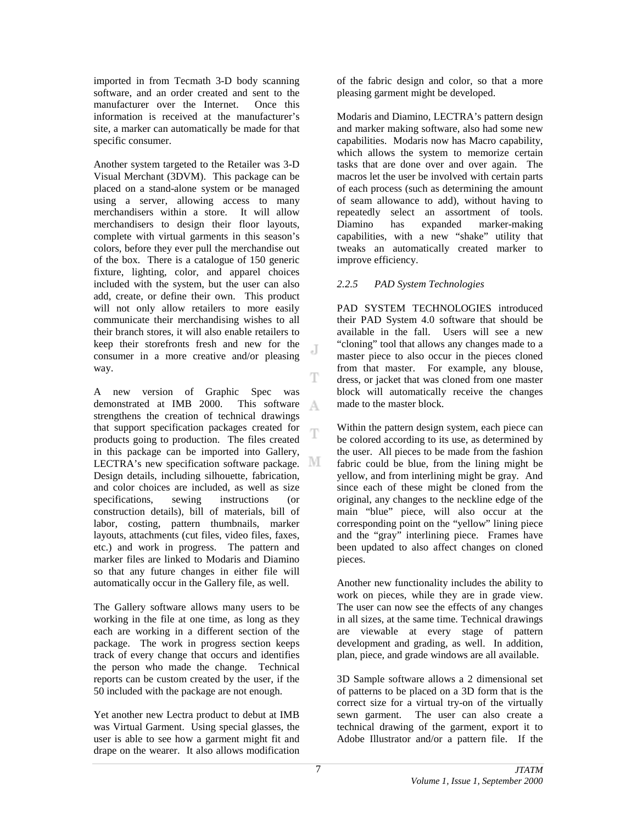imported in from Tecmath 3-D body scanning software, and an order created and sent to the manufacturer over the Internet. Once this information is received at the manufacturer's site, a marker can automatically be made for that specific consumer.

Another system targeted to the Retailer was 3-D Visual Merchant (3DVM). This package can be placed on a stand-alone system or be managed using a server, allowing access to many merchandisers within a store. It will allow merchandisers to design their floor layouts, complete with virtual garments in this season's colors, before they ever pull the merchandise out of the box. There is a catalogue of 150 generic fixture, lighting, color, and apparel choices included with the system, but the user can also add, create, or define their own. This product will not only allow retailers to more easily communicate their merchandising wishes to all their branch stores, it will also enable retailers to keep their storefronts fresh and new for the consumer in a more creative and/or pleasing way. Ŧ

A new version of Graphic Spec was demonstrated at IMB 2000. This software A strengthens the creation of technical drawings that support specification packages created for T products going to production. The files created in this package can be imported into Gallery, LECTRA's new specification software package. Design details, including silhouette, fabrication, and color choices are included, as well as size specifications, sewing instructions (or construction details), bill of materials, bill of labor, costing, pattern thumbnails, marker layouts, attachments (cut files, video files, faxes, etc.) and work in progress. The pattern and marker files are linked to Modaris and Diamino so that any future changes in either file will automatically occur in the Gallery file, as well.

The Gallery software allows many users to be working in the file at one time, as long as they each are working in a different section of the package. The work in progress section keeps track of every change that occurs and identifies the person who made the change. Technical reports can be custom created by the user, if the 50 included with the package are not enough.

Yet another new Lectra product to debut at IMB was Virtual Garment. Using special glasses, the user is able to see how a garment might fit and drape on the wearer. It also allows modification of the fabric design and color, so that a more pleasing garment might be developed.

Modaris and Diamino, LECTRA's pattern design and marker making software, also had some new capabilities. Modaris now has Macro capability, which allows the system to memorize certain tasks that are done over and over again. The macros let the user be involved with certain parts of each process (such as determining the amount of seam allowance to add), without having to repeatedly select an assortment of tools. Diamino has expanded marker-making capabilities, with a new "shake" utility that tweaks an automatically created marker to improve efficiency.

### *2.2.5 PAD System Technologies*

PAD SYSTEM TECHNOLOGIES introduced their PAD System 4.0 software that should be available in the fall. Users will see a new "cloning" tool that allows any changes made to a master piece to also occur in the pieces cloned from that master. For example, any blouse, dress, or jacket that was cloned from one master block will automatically receive the changes made to the master block.

Within the pattern design system, each piece can be colored according to its use, as determined by the user. All pieces to be made from the fashion fabric could be blue, from the lining might be yellow, and from interlining might be gray. And since each of these might be cloned from the original, any changes to the neckline edge of the main "blue" piece, will also occur at the corresponding point on the "yellow" lining piece and the "gray" interlining piece. Frames have been updated to also affect changes on cloned pieces.

Another new functionality includes the ability to work on pieces, while they are in grade view. The user can now see the effects of any changes in all sizes, at the same time. Technical drawings are viewable at every stage of pattern development and grading, as well. In addition, plan, piece, and grade windows are all available.

3D Sample software allows a 2 dimensional set of patterns to be placed on a 3D form that is the correct size for a virtual try-on of the virtually sewn garment. The user can also create a technical drawing of the garment, export it to Adobe Illustrator and/or a pattern file. If the

.T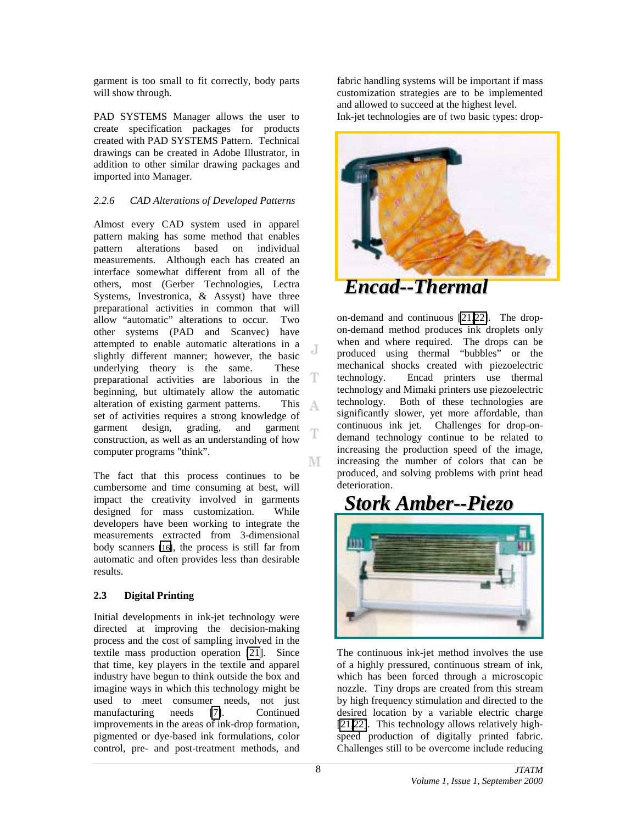garment is too small to fit correctly, body parts will show through.

PAD SYSTEMS Manager allows the user to create specification packages for products created with PAD SYSTEMS Pattern. Technical drawings can be created in Adobe Illustrator, in addition to other similar drawing packages and imported into Manager.

# *2.2.6 CAD Alterations of Developed Patterns*

Almost every CAD system used in apparel pattern making has some method that enables pattern alterations based on individual measurements. Although each has created an interface somewhat different from all of the others, most (Gerber Technologies, Lectra Systems, Investronica, & Assyst) have three preparational activities in common that will allow "automatic" alterations to occur. Two other systems (PAD and Scanvec) have attempted to enable automatic alterations in a J slightly different manner; however, the basic underlying theory is the same. These T preparational activities are laborious in the beginning, but ultimately allow the automatic alteration of existing garment patterns. This А set of activities requires a strong knowledge of garment design, grading, and garment Ŧ construction, as well as an understanding of how computer programs "think". М

The fact that this process continues to be cumbersome and time consuming at best, will impact the creativity involved in garments designed for mass customization. While developers have been working to integrate the measurements extracted from 3-dimensional body scanners [\[16\]](#page-2-0), the process is still far from automatic and often provides less than desirable results.

### **2.3 Digital Printing**

Initial developments in ink-jet technology were directed at improving the decision-making process and the cost of sampling involved in the textile mass production operation [\[21\]](#page-13-0). Since that time, key players in the textile and apparel industry have begun to think outside the box and imagine ways in which this technology might be used to meet consumer needs, not just manufacturing needs [\[7\]](#page-1-0). Continued improvements in the areas of ink-drop formation, pigmented or dye-based ink formulations, color control, pre- and post-treatment methods, and

fabric handling systems will be important if mass customization strategies are to be implemented and allowed to succeed at the highest level. Ink-jet technologies are of two basic types: drop-



*Encad--Thermal*

on-demand and continuous [21[,22\]](#page-13-0). The dropon-demand method produces ink droplets only when and where required. The drops can be produced using thermal "bubbles" or the mechanical shocks created with piezoelectric technology. Encad printers use thermal technology and Mimaki printers use piezoelectric technology. Both of these technologies are significantly slower, yet more affordable, than continuous ink jet. Challenges for drop-ondemand technology continue to be related to increasing the production speed of the image, increasing the number of colors that can be produced, and solving problems with print head deterioration.

# *Stork Amber--Piezo*



The continuous ink-jet method involves the use of a highly pressured, continuous stream of ink, which has been forced through a microscopic nozzle. Tiny drops are created from this stream by high frequency stimulation and directed to the desired location by a variable electric charge [21,22]. This technology allows relatively highspeed production of digitally printed fabric. Challenges still to be overcome include reducing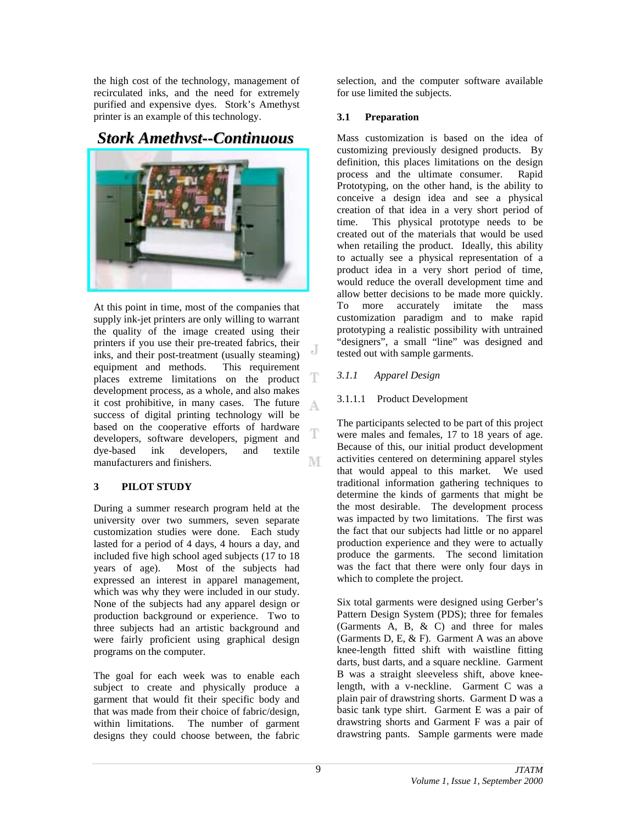the high cost of the technology, management of recirculated inks, and the need for extremely purified and expensive dyes. Stork's Amethyst printer is an example of this technology.

# *Stork Amethyst--Continuous*



At this point in time, most of the companies that supply ink-jet printers are only willing to warrant the quality of the image created using their printers if you use their pre-treated fabrics, their J inks, and their post-treatment (usually steaming) equipment and methods. This requirement Ŧ places extreme limitations on the product development process, as a whole, and also makes it cost prohibitive, in many cases. The future А success of digital printing technology will be based on the cooperative efforts of hardware developers, software developers, pigment and dye-based ink developers, and textile manufacturers and finishers. М

# **3 PILOT STUDY**

During a summer research program held at the university over two summers, seven separate customization studies were done. Each study lasted for a period of 4 days, 4 hours a day, and included five high school aged subjects (17 to 18 years of age). Most of the subjects had expressed an interest in apparel management, which was why they were included in our study. None of the subjects had any apparel design or production background or experience. Two to three subjects had an artistic background and were fairly proficient using graphical design programs on the computer.

The goal for each week was to enable each subject to create and physically produce a garment that would fit their specific body and that was made from their choice of fabric/design, within limitations. The number of garment designs they could choose between, the fabric

selection, and the computer software available for use limited the subjects.

# **3.1 Preparation**

Mass customization is based on the idea of customizing previously designed products. By definition, this places limitations on the design process and the ultimate consumer. Rapid Prototyping, on the other hand, is the ability to conceive a design idea and see a physical creation of that idea in a very short period of time. This physical prototype needs to be created out of the materials that would be used when retailing the product. Ideally, this ability to actually see a physical representation of a product idea in a very short period of time, would reduce the overall development time and allow better decisions to be made more quickly. To more accurately imitate the mass customization paradigm and to make rapid prototyping a realistic possibility with untrained "designers", a small "line" was designed and tested out with sample garments.

# *3.1.1 Apparel Design*

# 3.1.1.1 Product Development

The participants selected to be part of this project were males and females, 17 to 18 years of age. Because of this, our initial product development activities centered on determining apparel styles that would appeal to this market. We used traditional information gathering techniques to determine the kinds of garments that might be the most desirable. The development process was impacted by two limitations. The first was the fact that our subjects had little or no apparel production experience and they were to actually produce the garments. The second limitation was the fact that there were only four days in which to complete the project.

Six total garments were designed using Gerber's Pattern Design System (PDS); three for females (Garments  $\overline{A}$ ,  $\overline{B}$ ,  $\&$  C) and three for males (Garments D, E, & F). Garment A was an above knee-length fitted shift with waistline fitting darts, bust darts, and a square neckline. Garment B was a straight sleeveless shift, above kneelength, with a v-neckline. Garment C was a plain pair of drawstring shorts. Garment D was a basic tank type shirt. Garment E was a pair of drawstring shorts and Garment F was a pair of drawstring pants. Sample garments were made

Т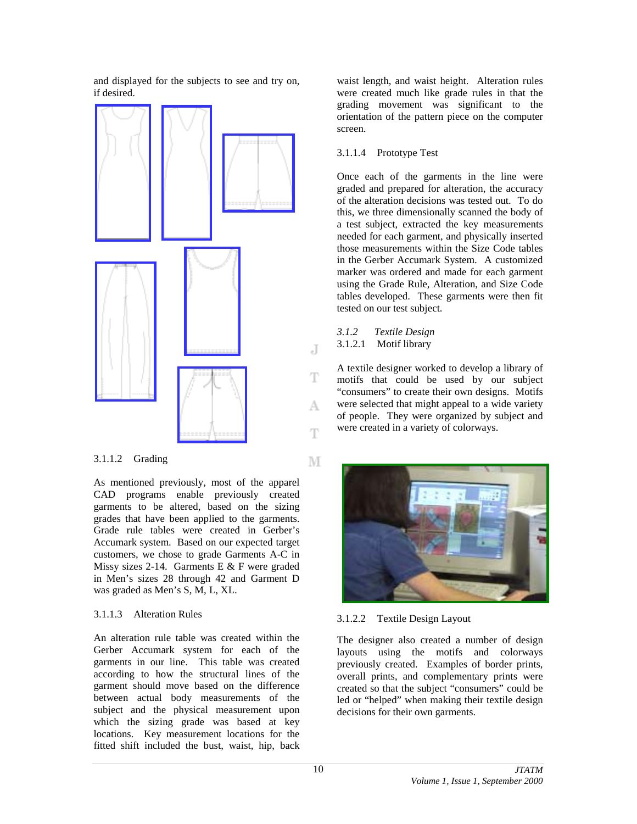and displayed for the subjects to see and try on, if desired.



### 3.1.1.2 Grading

As mentioned previously, most of the apparel CAD programs enable previously created garments to be altered, based on the sizing grades that have been applied to the garments. Grade rule tables were created in Gerber's Accumark system. Based on our expected target customers, we chose to grade Garments A-C in Missy sizes 2-14. Garments E  $&$  F were graded in Men's sizes 28 through 42 and Garment D was graded as Men's S, M, L, XL.

### 3.1.1.3 Alteration Rules

An alteration rule table was created within the Gerber Accumark system for each of the garments in our line. This table was created according to how the structural lines of the garment should move based on the difference between actual body measurements of the subject and the physical measurement upon which the sizing grade was based at key locations. Key measurement locations for the fitted shift included the bust, waist, hip, back

waist length, and waist height. Alteration rules were created much like grade rules in that the grading movement was significant to the orientation of the pattern piece on the computer screen.

### 3.1.1.4 Prototype Test

Once each of the garments in the line were graded and prepared for alteration, the accuracy of the alteration decisions was tested out. To do this, we three dimensionally scanned the body of a test subject, extracted the key measurements needed for each garment, and physically inserted those measurements within the Size Code tables in the Gerber Accumark System. A customized marker was ordered and made for each garment using the Grade Rule, Alteration, and Size Code tables developed. These garments were then fit tested on our test subject.

*3.1.2 Textile Design* 3.1.2.1 Motif library

J

Ŧ

A

Ŧ

М

A textile designer worked to develop a library of motifs that could be used by our subject "consumers" to create their own designs. Motifs were selected that might appeal to a wide variety of people. They were organized by subject and were created in a variety of colorways.



# 3.1.2.2 Textile Design Layout

The designer also created a number of design layouts using the motifs and colorways previously created. Examples of border prints, overall prints, and complementary prints were created so that the subject "consumers" could be led or "helped" when making their textile design decisions for their own garments.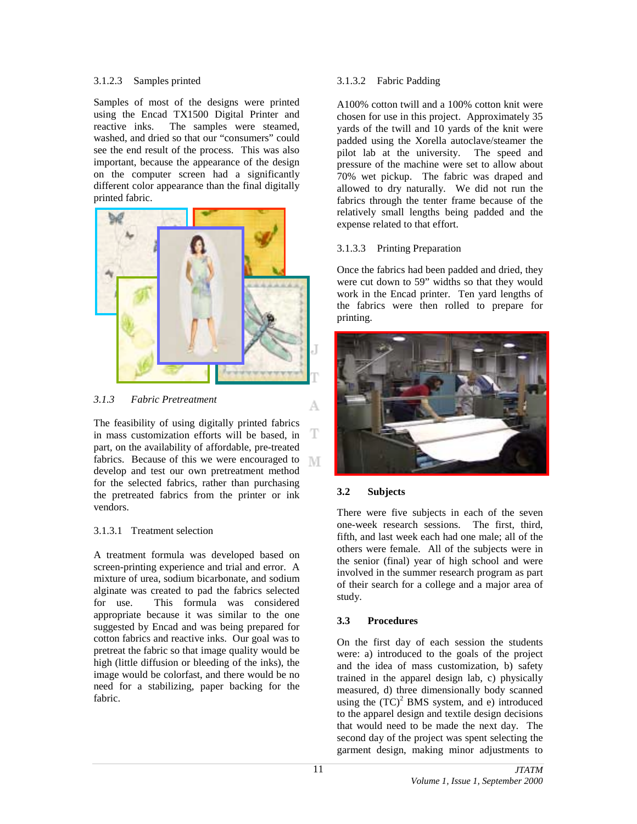### 3.1.2.3 Samples printed

Samples of most of the designs were printed using the Encad TX1500 Digital Printer and reactive inks. The samples were steamed, washed, and dried so that our "consumers" could see the end result of the process. This was also important, because the appearance of the design on the computer screen had a significantly different color appearance than the final digitally printed fabric.



*3.1.3 Fabric Pretreatment*

The feasibility of using digitally printed fabrics T in mass customization efforts will be based, in part, on the availability of affordable, pre-treated fabrics. Because of this we were encouraged to M develop and test our own pretreatment method for the selected fabrics, rather than purchasing the pretreated fabrics from the printer or ink vendors.

### 3.1.3.1 Treatment selection

A treatment formula was developed based on screen-printing experience and trial and error. A mixture of urea, sodium bicarbonate, and sodium alginate was created to pad the fabrics selected for use. This formula was considered appropriate because it was similar to the one suggested by Encad and was being prepared for cotton fabrics and reactive inks. Our goal was to pretreat the fabric so that image quality would be high (little diffusion or bleeding of the inks), the image would be colorfast, and there would be no need for a stabilizing, paper backing for the fabric.

### 3.1.3.2 Fabric Padding

A100% cotton twill and a 100% cotton knit were chosen for use in this project. Approximately 35 yards of the twill and 10 yards of the knit were padded using the Xorella autoclave/steamer the pilot lab at the university. The speed and pressure of the machine were set to allow about 70% wet pickup. The fabric was draped and allowed to dry naturally. We did not run the fabrics through the tenter frame because of the relatively small lengths being padded and the expense related to that effort.

# 3.1.3.3 Printing Preparation

Once the fabrics had been padded and dried, they were cut down to 59" widths so that they would work in the Encad printer. Ten yard lengths of the fabrics were then rolled to prepare for printing.



# **3.2 Subjects**

А

There were five subjects in each of the seven one-week research sessions. The first, third, fifth, and last week each had one male; all of the others were female. All of the subjects were in the senior (final) year of high school and were involved in the summer research program as part of their search for a college and a major area of study.

# **3.3 Procedures**

On the first day of each session the students were: a) introduced to the goals of the project and the idea of mass customization, b) safety trained in the apparel design lab, c) physically measured, d) three dimensionally body scanned using the  $(TC)^2$  BMS system, and e) introduced to the apparel design and textile design decisions that would need to be made the next day. The second day of the project was spent selecting the garment design, making minor adjustments to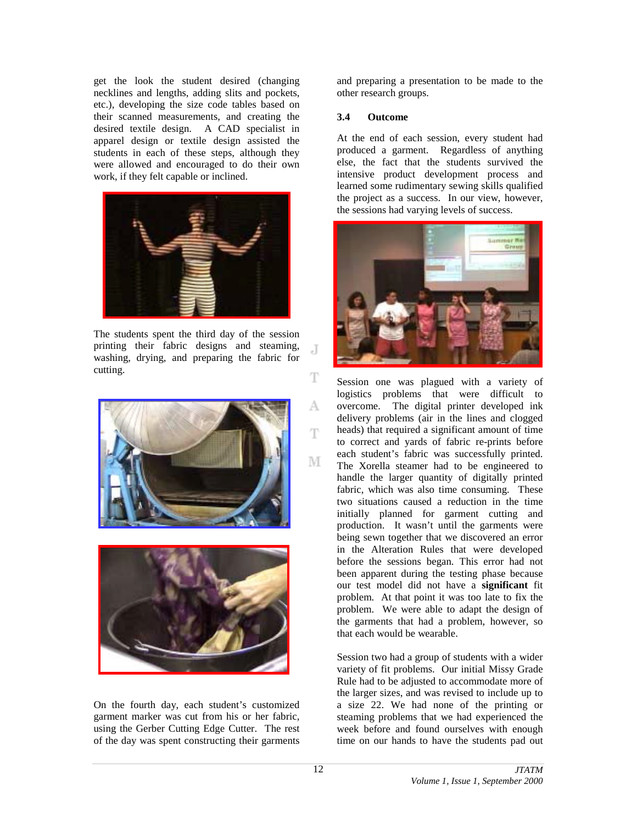get the look the student desired (changing necklines and lengths, adding slits and pockets, etc.), developing the size code tables based on their scanned measurements, and creating the desired textile design. A CAD specialist in apparel design or textile design assisted the students in each of these steps, although they were allowed and encouraged to do their own work, if they felt capable or inclined.



The students spent the third day of the session printing their fabric designs and steaming, washing, drying, and preparing the fabric for cutting.





On the fourth day, each student's customized garment marker was cut from his or her fabric, using the Gerber Cutting Edge Cutter. The rest of the day was spent constructing their garments

and preparing a presentation to be made to the other research groups.

### **3.4 Outcome**

At the end of each session, every student had produced a garment. Regardless of anything else, the fact that the students survived the intensive product development process and learned some rudimentary sewing skills qualified the project as a success. In our view, however, the sessions had varying levels of success.



Session one was plagued with a variety of logistics problems that were difficult to overcome. The digital printer developed ink delivery problems (air in the lines and clogged heads) that required a significant amount of time to correct and yards of fabric re-prints before each student's fabric was successfully printed. The Xorella steamer had to be engineered to handle the larger quantity of digitally printed fabric, which was also time consuming. These two situations caused a reduction in the time initially planned for garment cutting and production. It wasn't until the garments were being sewn together that we discovered an error in the Alteration Rules that were developed before the sessions began. This error had not been apparent during the testing phase because our test model did not have a **significant** fit problem. At that point it was too late to fix the problem. We were able to adapt the design of the garments that had a problem, however, so that each would be wearable.

Session two had a group of students with a wider variety of fit problems. Our initial Missy Grade Rule had to be adjusted to accommodate more of the larger sizes, and was revised to include up to a size 22. We had none of the printing or steaming problems that we had experienced the week before and found ourselves with enough time on our hands to have the students pad out

.T

T

A

Ŧ

М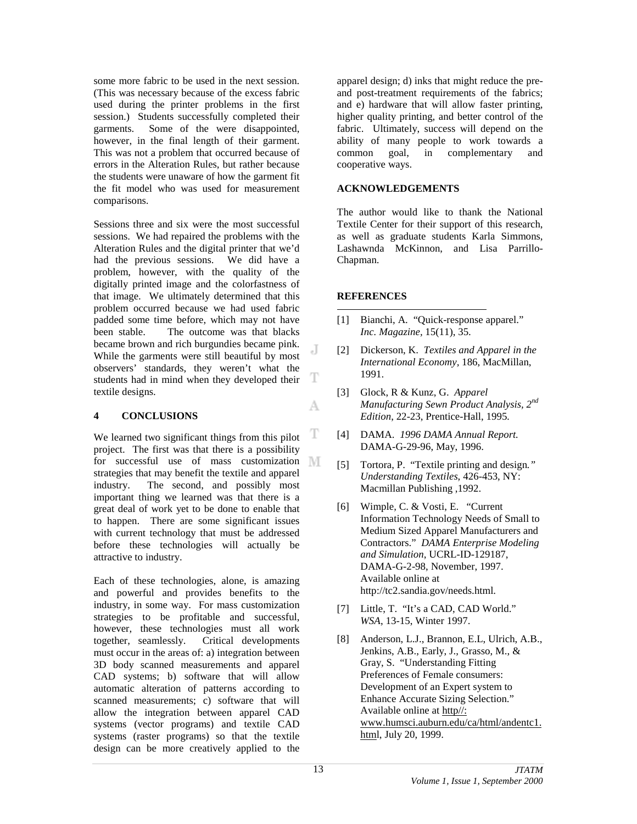some more fabric to be used in the next session. (This was necessary because of the excess fabric used during the printer problems in the first session.) Students successfully completed their garments. Some of the were disappointed, however, in the final length of their garment. This was not a problem that occurred because of errors in the Alteration Rules, but rather because the students were unaware of how the garment fit the fit model who was used for measurement comparisons.

Sessions three and six were the most successful sessions. We had repaired the problems with the Alteration Rules and the digital printer that we'd had the previous sessions. We did have a problem, however, with the quality of the digitally printed image and the colorfastness of that image. We ultimately determined that this problem occurred because we had used fabric padded some time before, which may not have been stable. The outcome was that blacks became brown and rich burgundies became pink. While the garments were still beautiful by most observers' standards, they weren't what the students had in mind when they developed their textile designs.

### **4 CONCLUSIONS**

T We learned two significant things from this pilot project. The first was that there is a possibility for successful use of mass customization strategies that may benefit the textile and apparel industry. The second, and possibly most important thing we learned was that there is a great deal of work yet to be done to enable that to happen. There are some significant issues with current technology that must be addressed before these technologies will actually be attractive to industry.

Each of these technologies, alone, is amazing and powerful and provides benefits to the industry, in some way. For mass customization strategies to be profitable and successful, however, these technologies must all work together, seamlessly. Critical developments must occur in the areas of: a) integration between 3D body scanned measurements and apparel CAD systems; b) software that will allow automatic alteration of patterns according to scanned measurements; c) software that will allow the integration between apparel CAD systems (vector programs) and textile CAD systems (raster programs) so that the textile design can be more creatively applied to the

apparel design; d) inks that might reduce the preand post-treatment requirements of the fabrics; and e) hardware that will allow faster printing, higher quality printing, and better control of the fabric. Ultimately, success will depend on the ability of many people to work towards a common goal, in complementary and cooperative ways.

### **ACKNOWLEDGEMENTS**

The author would like to thank the National Textile Center for their support of this research, as well as graduate students Karla Simmons, Lashawnda McKinnon, and Lisa Parrillo-Chapman.

### **REFERENCES**

l

J

T

A

- [1] Bianchi, A. "Quick-response apparel." *Inc. Magazine,* 15(11), 35.
- [2] Dickerson, K. *Textiles and Apparel in the International Economy,* 186, MacMillan, 1991.
- [3] Glock, R & Kunz, G. *Apparel Manufacturing Sewn Product Analysis, 2nd Edition*, 22-23, Prentice-Hall, 1995*.*
- [4] DAMA. *1996 DAMA Annual Report.* DAMA-G-29-96, May, 1996.
- [5] Tortora, P. "Textile printing and design*." Understanding Textiles*, 426-453, NY: Macmillan Publishing ,1992.
- [6] Wimple, C. & Vosti, E. "Current Information Technology Needs of Small to Medium Sized Apparel Manufacturers and Contractors." *DAMA Enterprise Modeling and Simulation*, UCRL-ID-129187, DAMA-G-2-98, November, 1997. Available online at http://tc2.sandia.gov/needs.html.
- [7] Little, T. "It's a CAD, CAD World." *WSA*, 13-15, Winter 1997.
- [8] Anderson, L.J., Brannon, E.L, Ulrich, A.B., Jenkins, A.B., Early, J., Grasso, M., & Gray, S. "Understanding Fitting Preferences of Female consumers: Development of an Expert system to Enhance Accurate Sizing Selection." Available online at http//: www.humsci.auburn.edu/ca/html/andentc1. html, July 20, 1999.